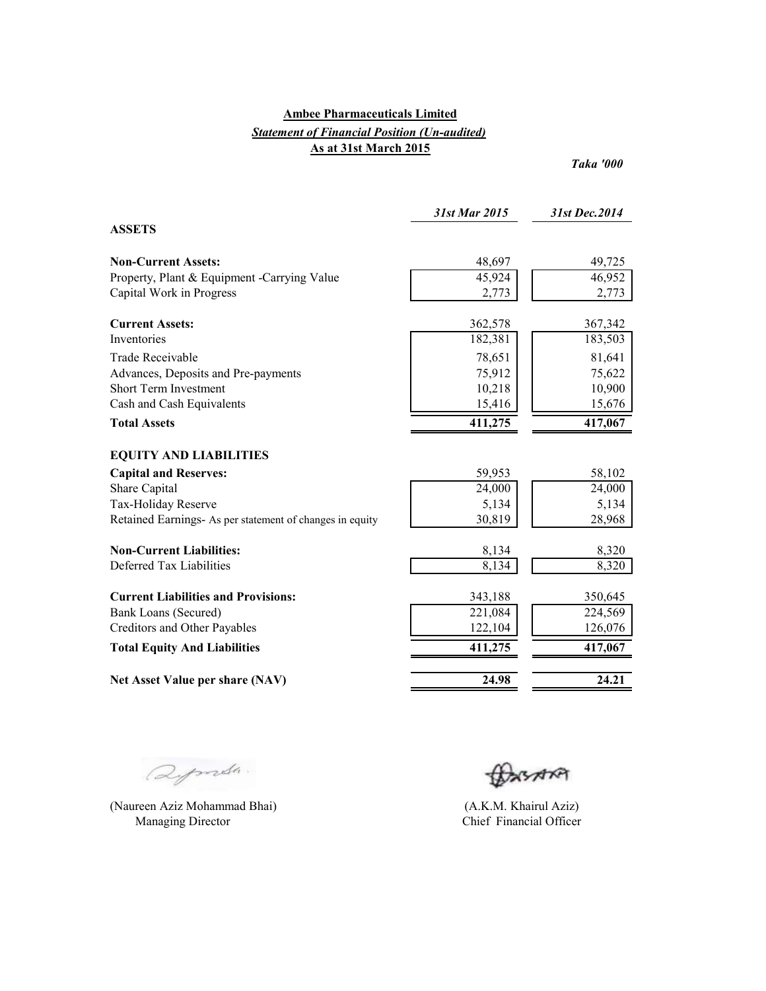## **Ambee Pharmaceuticals Limited** *Statement of Financial Position (Un-audited)* **As at 31st March 2015**

*Taka '000*

|                                                          | 31st Mar 2015 | 31st Dec.2014 |
|----------------------------------------------------------|---------------|---------------|
| <b>ASSETS</b>                                            |               |               |
| <b>Non-Current Assets:</b>                               | 48,697        | 49,725        |
| Property, Plant & Equipment -Carrying Value              | 45,924        | 46,952        |
| Capital Work in Progress                                 | 2,773         | 2,773         |
| <b>Current Assets:</b>                                   | 362,578       | 367,342       |
| Inventories                                              | 182,381       | 183,503       |
| Trade Receivable                                         | 78,651        | 81,641        |
| Advances, Deposits and Pre-payments                      | 75,912        | 75,622        |
| <b>Short Term Investment</b>                             | 10,218        | 10,900        |
| Cash and Cash Equivalents                                | 15,416        | 15,676        |
| <b>Total Assets</b>                                      | 411,275       | 417,067       |
| <b>EQUITY AND LIABILITIES</b>                            |               |               |
| <b>Capital and Reserves:</b>                             | 59,953        | 58,102        |
| Share Capital                                            | 24,000        | 24,000        |
| Tax-Holiday Reserve                                      | 5,134         | 5,134         |
| Retained Earnings- As per statement of changes in equity | 30,819        | 28,968        |
| <b>Non-Current Liabilities:</b>                          | 8,134         | 8,320         |
| Deferred Tax Liabilities                                 | 8,134         | 8,320         |
| <b>Current Liabilities and Provisions:</b>               | 343,188       | 350,645       |
| Bank Loans (Secured)                                     | 221,084       | 224,569       |
| Creditors and Other Payables                             | 122,104       | 126,076       |
| <b>Total Equity And Liabilities</b>                      | 411,275       | 417,067       |
| Net Asset Value per share (NAV)                          | 24.98         | 24.21         |

aprila.

(Naureen Aziz Mohammad Bhai) Managing Director

BASARA

(A.K.M. Khairul Aziz) Chief Financial Officer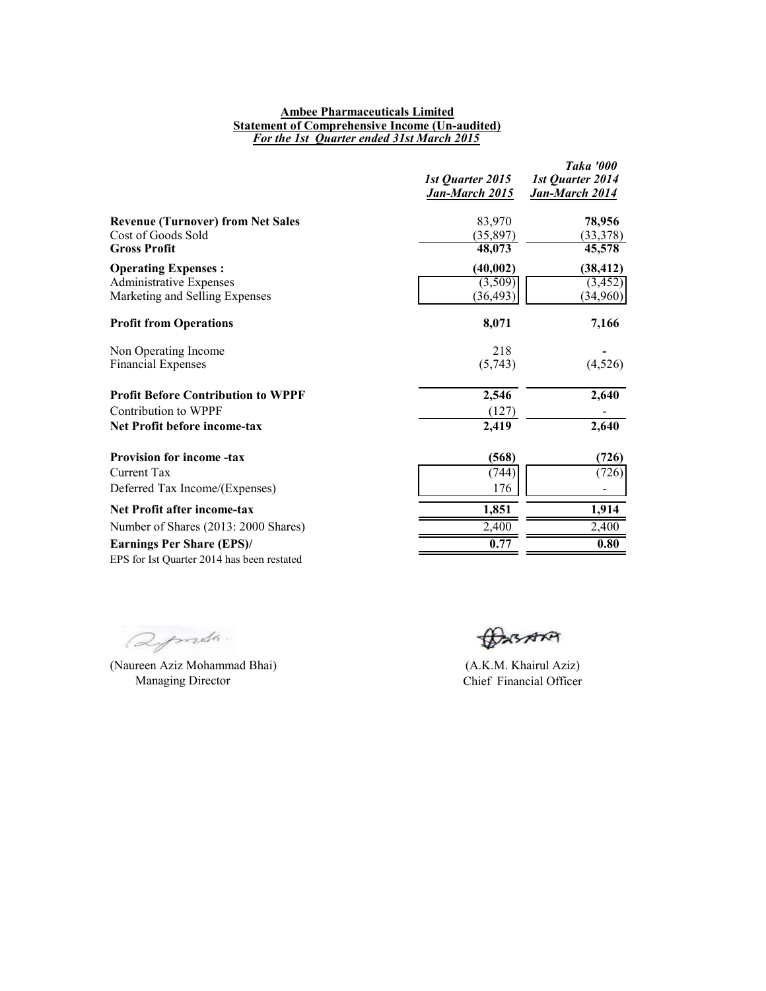#### **Ambee Pharmaceuticals Limited Statement of Comprehensive Income (Un-audited)** *For the 1st Quarter ended 31st March 2015*

|                                                                  | 1st Quarter 2015<br><u>Jan-March 2015</u> | Taka '000<br>1st Quarter 2014<br><b>Jan-March 2014</b> |
|------------------------------------------------------------------|-------------------------------------------|--------------------------------------------------------|
| <b>Revenue (Turnover) from Net Sales</b>                         | 83,970                                    | 78,956                                                 |
| Cost of Goods Sold<br><b>Gross Profit</b>                        | (35, 897)<br>48,073                       | (33,378)<br>45,578                                     |
| <b>Operating Expenses:</b>                                       | (40, 002)                                 | (38, 412)                                              |
| <b>Administrative Expenses</b><br>Marketing and Selling Expenses | (3,509)<br>(36, 493)                      | (3, 452)<br>(34,960)                                   |
| <b>Profit from Operations</b>                                    | 8,071                                     | 7,166                                                  |
| Non Operating Income                                             | 218                                       |                                                        |
| <b>Financial Expenses</b>                                        | (5,743)                                   | (4,526)                                                |
| <b>Profit Before Contribution to WPPF</b>                        | 2,546                                     | 2,640                                                  |
| Contribution to WPPF                                             | (127)                                     |                                                        |
| Net Profit before income-tax                                     | 2,419                                     | 2,640                                                  |
| <b>Provision for income -tax</b>                                 | (568)                                     | (726)                                                  |
| <b>Current Tax</b>                                               | (744)                                     | (726)                                                  |
| Deferred Tax Income/(Expenses)                                   | 176                                       |                                                        |
| Net Profit after income-tax                                      | 1,851                                     | 1,914                                                  |
| Number of Shares (2013: 2000 Shares)                             | 2,400                                     | 2,400                                                  |
| <b>Earnings Per Share (EPS)/</b>                                 | 0.77                                      | 0.80                                                   |
| EPS for Ist Quarter 2014 has been restated                       |                                           |                                                        |

Deports.

(Naureen Aziz Mohammad Bhai) Managing Director

BASARA

(A.K.M. Khairul Aziz) Chief Financial Officer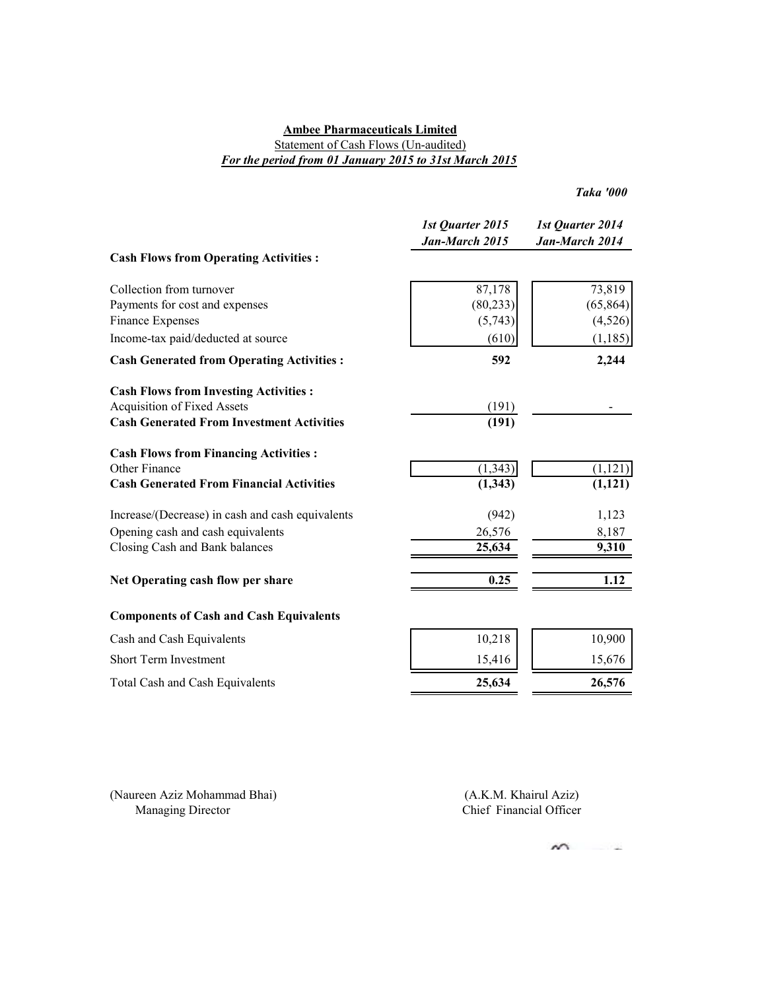### **Ambee Pharmaceuticals Limited** Statement of Cash Flows (Un-audited)

## *For the period from 01 January 2015 to 31st March 2015*

*Taka '000*

|                                                        | 1st Quarter 2015<br>Jan-March 2015 | 1st Quarter 2014<br>Jan-March 2014 |
|--------------------------------------------------------|------------------------------------|------------------------------------|
| <b>Cash Flows from Operating Activities:</b>           |                                    |                                    |
| Collection from turnover                               | 87,178                             | 73,819                             |
| Payments for cost and expenses                         | (80, 233)                          | (65, 864)                          |
| Finance Expenses<br>Income-tax paid/deducted at source | (5,743)<br>(610)                   | (4, 526)<br>(1, 185)               |
|                                                        |                                    |                                    |
| <b>Cash Generated from Operating Activities:</b>       | 592                                | 2,244                              |
| <b>Cash Flows from Investing Activities:</b>           |                                    |                                    |
| <b>Acquisition of Fixed Assets</b>                     | (191)                              |                                    |
| <b>Cash Generated From Investment Activities</b>       | (191)                              |                                    |
| <b>Cash Flows from Financing Activities:</b>           |                                    |                                    |
| Other Finance                                          | (1, 343)                           | (1, 121)                           |
| <b>Cash Generated From Financial Activities</b>        | (1, 343)                           | (1,121)                            |
| Increase/(Decrease) in cash and cash equivalents       | (942)                              | 1,123                              |
| Opening cash and cash equivalents                      | 26,576                             | 8,187                              |
| Closing Cash and Bank balances                         | 25,634                             | 9,310                              |
| Net Operating cash flow per share                      | 0.25                               | 1.12                               |
| <b>Components of Cash and Cash Equivalents</b>         |                                    |                                    |
| Cash and Cash Equivalents                              | 10,218                             | 10,900                             |
| Short Term Investment                                  | 15,416                             | 15,676                             |
| Total Cash and Cash Equivalents                        | 25,634                             | 26,576                             |

(Naureen Aziz Mohammad Bhai) Managing Director

Chief Financial Officer (A.K.M. Khairul Aziz)

$$
\mathbf{w} =
$$